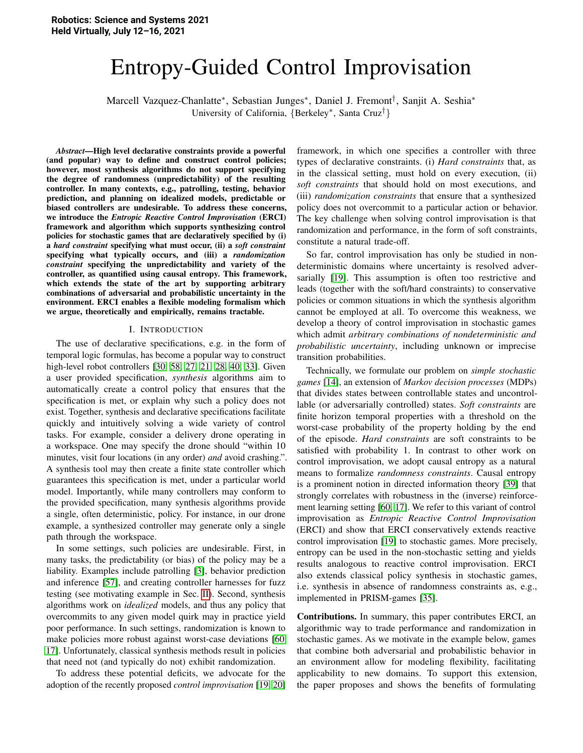# Entropy-Guided Control Improvisation

Marcell Vazquez-Chanlatte<sup>∗</sup> , Sebastian Junges<sup>∗</sup> , Daniel J. Fremont† , Sanjit A. Seshia<sup>∗</sup> University of California, {Berkeley<sup>∗</sup> , Santa Cruz†}

<span id="page-0-0"></span>*Abstract*—High level declarative constraints provide a powerful (and popular) way to define and construct control policies; however, most synthesis algorithms do not support specifying the degree of randomness (unpredictability) of the resulting controller. In many contexts, e.g., patrolling, testing, behavior prediction, and planning on idealized models, predictable or biased controllers are undesirable. To address these concerns, we introduce the *Entropic Reactive Control Improvisation* (ERCI) framework and algorithm which supports synthesizing control policies for stochastic games that are declaratively specified by (i) a *hard constraint* specifying what must occur, (ii) a *soft constraint* specifying what typically occurs, and (iii) a *randomization constraint* specifying the unpredictability and variety of the controller, as quantified using causal entropy. This framework, which extends the state of the art by supporting arbitrary combinations of adversarial and probabilistic uncertainty in the environment. ERCI enables a flexible modeling formalism which we argue, theoretically and empirically, remains tractable. Robotics: Science and Systems 2021<br>
Held Virtually, July 22-16, 2021<br>
Held Virtually, July 22-16, 2021<br>
Enf ITOPDY - Guil decl Conntrol Improvisation (Asian Associate Connective Connective Connective Connective Connective

# I. INTRODUCTION

The use of declarative specifications, e.g. in the form of temporal logic formulas, has become a popular way to construct high-level robot controllers [30, 58, 27, 21, 28, 40, 33]. Given a user provided specification, *synthesis* algorithms aim to automatically create a control policy that ensures that the specification is met, or explain why such a policy does not exist. Together, synthesis and declarative specifications facilitate quickly and intuitively solving a wide variety of control tasks. For example, consider a delivery drone operating in a workspace. One may specify the drone should "within 10 minutes, visit four locations (in any order) *and* avoid crashing.". A synthesis tool may then create a finite state controller which guarantees this specification is met, under a particular world model. Importantly, while many controllers may conform to the provided specification, many synthesis algorithms provide a single, often deterministic, policy. For instance, in our drone example, a synthesized controller may generate only a single path through the workspace.

In some settings, such policies are undesirable. First, in many tasks, the predictability (or bias) of the policy may be a liability. Examples include patrolling [\[3\]](#page-10-2), behavior prediction and inference [\[57\]](#page-11-5), and creating controller harnesses for fuzz testing (see motivating example in Sec. [II\)](#page-1-0). Second, synthesis algorithms work on *idealized* models, and thus any policy that overcommits to any given model quirk may in practice yield poor performance. In such settings, randomization is known to make policies more robust against worst-case deviations [\[60,](#page-12-0) [17\]](#page-10-3). Unfortunately, classical synthesis methods result in policies that need not (and typically do not) exhibit randomization.

To address these potential deficits, we advocate for the adoption of the recently proposed *control improvisation* [\[19,](#page-10-4) [20\]](#page-10-5) framework, in which one specifies a controller with three types of declarative constraints. (i) *Hard constraints* that, as in the classical setting, must hold on every execution, (ii) *soft constraints* that should hold on most executions, and (iii) *randomization constraints* that ensure that a synthesized policy does not overcommit to a particular action or behavior. The key challenge when solving control improvisation is that randomization and performance, in the form of soft constraints, constitute a natural trade-off.

So far, control improvisation has only be studied in nondeterministic domains where uncertainty is resolved adversarially [19]. This assumption is often too restrictive and leads (together with the soft/hard constraints) to conservative policies or common situations in which the synthesis algorithm cannot be employed at all. To overcome this weakness, we develop a theory of control improvisation in stochastic games which admit *arbitrary combinations of nondeterministic and probabilistic uncertainty*, including unknown or imprecise transition probabilities.

Technically, we formulate our problem on *simple stochastic games* [14], an extension of *Markov decision processes* (MDPs) that divides states between controllable states and uncontrollable (or adversarially controlled) states. *Soft constraints* are finite horizon temporal properties with a threshold on the worst-case probability of the property holding by the end of the episode. *Hard constraints* are soft constraints to be satisfied with probability 1. In contrast to other work on control improvisation, we adopt causal entropy as a natural means to formalize *randomness constraints*. Causal entropy is a prominent notion in directed information theory [\[39\]](#page-11-6) that strongly correlates with robustness in the (inverse) reinforcement learning setting [\[60,](#page-12-0) [17\]](#page-10-3). We refer to this variant of control improvisation as *Entropic Reactive Control Improvisation* (ERCI) and show that ERCI conservatively extends reactive control improvisation [\[19\]](#page-10-4) to stochastic games. More precisely, entropy can be used in the non-stochastic setting and yields results analogous to reactive control improvisation. ERCI also extends classical policy synthesis in stochastic games, i.e. synthesis in absence of randomness constraints as, e.g., implemented in PRISM-games [\[35\]](#page-11-7).

Contributions. In summary, this paper contributes ERCI, an algorithmic way to trade performance and randomization in stochastic games. As we motivate in the example below, games that combine both adversarial and probabilistic behavior in an environment allow for modeling flexibility, facilitating applicability to new domains. To support this extension, the paper proposes and shows the benefits of formulating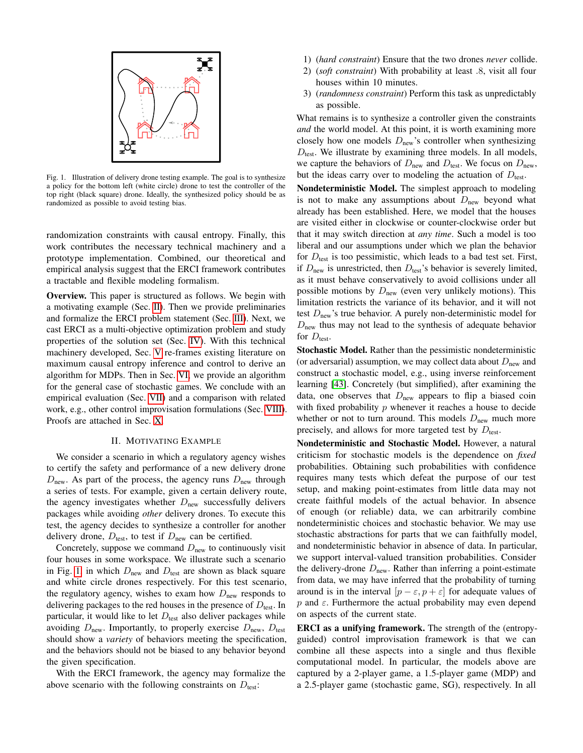<span id="page-1-1"></span>

Fig. 1. Illustration of delivery drone testing example. The goal is to synthesize a policy for the bottom left (white circle) drone to test the controller of the top right (black square) drone. Ideally, the synthesized policy should be as randomized as possible to avoid testing bias.

randomization constraints with causal entropy. Finally, this work contributes the necessary technical machinery and a prototype implementation. Combined, our theoretical and empirical analysis suggest that the ERCI framework contributes a tractable and flexible modeling formalism.

Overview. This paper is structured as follows. We begin with a motivating example (Sec. II). Then we provide preliminaries and formalize the ERCI problem statement (Sec. III). Next, we cast ERCI as a multi-objective optimization problem and study properties of the solution set (Sec. IV). With this technical machinery developed, Sec. V re-frames existing literature on maximum causal entropy inference and control to derive an algorithm for MDPs. Then in Sec. VI, we provide an algorithm for the general case of stochastic games. We conclude with an empirical evaluation (Sec. VII) and a comparison with related work, e.g., other control improvisation formulations (Sec. VIII). Proofs are attached in Sec. X.

#### II. MOTIVATING EXAMPLE

<span id="page-1-0"></span>We consider a scenario in which a regulatory agency wishes to certify the safety and performance of a new delivery drone  $D_{\text{new}}$ . As part of the process, the agency runs  $D_{\text{new}}$  through a series of tests. For example, given a certain delivery route, the agency investigates whether  $D_{\text{new}}$  successfully delivers packages while avoiding *other* delivery drones. To execute this test, the agency decides to synthesize a controller for another delivery drone,  $D_{\text{test}}$ , to test if  $D_{\text{new}}$  can be certified.

Concretely, suppose we command  $D<sub>new</sub>$  to continuously visit four houses in some workspace. We illustrate such a scenario in Fig. [1,](#page-1-1) in which  $D_{\text{new}}$  and  $D_{\text{test}}$  are shown as black square and white circle drones respectively. For this test scenario, the regulatory agency, wishes to exam how  $D<sub>new</sub>$  responds to delivering packages to the red houses in the presence of  $D_{\text{test}}$ . In particular, it would like to let  $D_{\text{test}}$  also deliver packages while avoiding  $D_{\text{new}}$ . Importantly, to properly exercise  $D_{\text{new}}$ ,  $D_{\text{test}}$ should show a *variety* of behaviors meeting the specification, and the behaviors should not be biased to any behavior beyond the given specification.

With the ERCI framework, the agency may formalize the above scenario with the following constraints on  $D_{\text{test}}$ :

- 1) (*hard constraint*) Ensure that the two drones *never* collide.
- 2) (*soft constraint*) With probability at least .8, visit all four houses within 10 minutes.
- 3) (*randomness constraint*) Perform this task as unpredictably as possible.

What remains is to synthesize a controller given the constraints *and* the world model. At this point, it is worth examining more closely how one models  $D<sub>new</sub>$ 's controller when synthesizing  $D_{\text{test}}$ . We illustrate by examining three models. In all models, we capture the behaviors of  $D_{\text{new}}$  and  $D_{\text{test}}$ . We focus on  $D_{\text{new}}$ , but the ideas carry over to modeling the actuation of  $D_{test}$ .

Nondeterministic Model. The simplest approach to modeling is not to make any assumptions about  $D<sub>new</sub>$  beyond what already has been established. Here, we model that the houses are visited either in clockwise or counter-clockwise order but that it may switch direction at *any time*. Such a model is too liberal and our assumptions under which we plan the behavior for  $D_{\text{test}}$  is too pessimistic, which leads to a bad test set. First, if  $D_{\text{new}}$  is unrestricted, then  $D_{\text{test}}$ 's behavior is severely limited, as it must behave conservatively to avoid collisions under all possible motions by  $D_{\text{new}}$  (even very unlikely motions). This limitation restricts the variance of its behavior, and it will not test  $D<sub>new</sub>$ 's true behavior. A purely non-deterministic model for  $D<sub>new</sub>$  thus may not lead to the synthesis of adequate behavior for  $D_{\text{test}}$ . 1) (for a constraint based with probabilities are able to the set of the set of the set of the set of the set of the set of the set of the set of the set of the set of the set of the set of the set of the set of the set o

Stochastic Model. Rather than the pessimistic nondeterministic (or adversarial) assumption, we may collect data about  $D<sub>new</sub>$  and construct a stochastic model, e.g., using inverse reinforcement learning [\[43\]](#page-11-8). Concretely (but simplified), after examining the data, one observes that  $D_{\text{new}}$  appears to flip a biased coin with fixed probability  $p$  whenever it reaches a house to decide whether or not to turn around. This models  $D_{\text{new}}$  much more precisely, and allows for more targeted test by  $D_{\text{test}}$ .

Nondeterministic and Stochastic Model. However, a natural criticism for stochastic models is the dependence on *fixed* probabilities. Obtaining such probabilities with confidence requires many tests which defeat the purpose of our test setup, and making point-estimates from little data may not create faithful models of the actual behavior. In absence of enough (or reliable) data, we can arbitrarily combine nondeterministic choices and stochastic behavior. We may use stochastic abstractions for parts that we can faithfully model, and nondeterministic behavior in absence of data. In particular, we support interval-valued transition probabilities. Consider the delivery-drone  $D_{\text{new}}$ . Rather than inferring a point-estimate from data, we may have inferred that the probability of turning around is in the interval  $[p - \varepsilon, p + \varepsilon]$  for adequate values of  $p$  and  $\varepsilon$ . Furthermore the actual probability may even depend on aspects of the current state.

ERCI as a unifying framework. The strength of the (entropyguided) control improvisation framework is that we can combine all these aspects into a single and thus flexible computational model. In particular, the models above are captured by a 2-player game, a 1.5-player game (MDP) and a 2.5-player game (stochastic game, SG), respectively. In all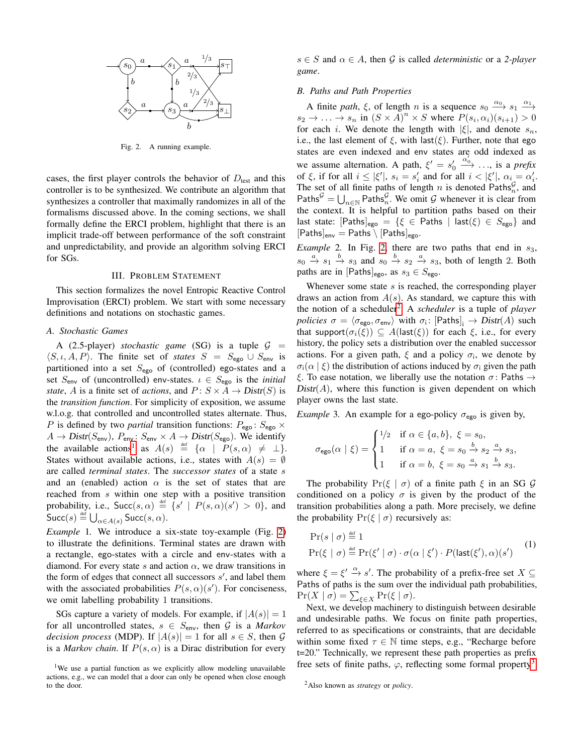<span id="page-2-2"></span>

Fig. 2. A running example.

cases, the first player controls the behavior of  $D_{\text{test}}$  and this controller is to be synthesized. We contribute an algorithm that synthesizes a controller that maximally randomizes in all of the formalisms discussed above. In the coming sections, we shall formally define the ERCI problem, highlight that there is an implicit trade-off between performance of the soft constraint and unpredictability, and provide an algorithm solving ERCI for SGs.

#### III. PROBLEM STATEMENT

<span id="page-2-0"></span>This section formalizes the novel Entropic Reactive Control Improvisation (ERCI) problem. We start with some necessary definitions and notations on stochastic games.

#### *A. Stochastic Games*

A (2.5-player) *stochastic game* (SG) is a tuple  $G =$  $\langle S, \iota, A, P \rangle$ . The finite set of *states*  $S = S_{\text{ego}} \cup S_{\text{env}}$  is partitioned into a set  $S_{\text{ego}}$  of (controlled) ego-states and a set  $S_{env}$  of (uncontrolled) env-states.  $\iota \in S_{ego}$  is the *initial state*, A is a finite set of *actions*, and  $P: S \times A \rightarrow Dist(S)$  is the *transition function*. For simplicity of exposition, we assume w.l.o.g. that controlled and uncontrolled states alternate. Thus, P is defined by two *partial* transition functions:  $P_{\text{ego}}$ :  $S_{\text{ego}} \times$  $A \to Distr(S_{env}), P_{env}$ :  $S_{env} \times A \to Distr(S_{ego})$ . We identify the available actions<sup>1</sup> as  $A(s) \stackrel{\text{def}}{=} {\alpha \mid P(s, \alpha) \neq \bot}.$ States without available actions, i.e., states with  $A(s) = \emptyset$ are called *terminal states*. The *successor states* of a state s and an (enabled) action  $\alpha$  is the set of states that are reached from s within one step with a positive transition probability, i.e.,  $\text{Succ}(s, \alpha) \stackrel{\text{def}}{=} \{s' \mid P(s, \alpha)(s') > 0\}$ , and  $\mathsf{Succ}(s) \stackrel{\text{\tiny def}}{=} \bigcup_{\alpha \in A(s)} \mathsf{Succ}(s, \alpha).$ 

*Example* 1*.* We introduce a six-state toy-example (Fig. [2\)](#page-2-2) to illustrate the definitions. Terminal states are drawn with a rectangle, ego-states with a circle and env-states with a diamond. For every state s and action  $\alpha$ , we draw transitions in the form of edges that connect all successors  $s'$ , and label them with the associated probabilities  $P(s, \alpha)(s')$ . For conciseness, we omit labelling probability 1 transitions.

SGs capture a variety of models. For example, if  $|A(s)| = 1$ for all uncontrolled states,  $s \in S_{env}$ , then  $\mathcal G$  is a *Markov decision process* (MDP). If  $|A(s)| = 1$  for all  $s \in S$ , then  $\mathcal{G}$ is a *Markov chain*. If  $P(s, \alpha)$  is a Dirac distribution for every  $s \in S$  and  $\alpha \in A$ , then G is called *deterministic* or a 2-player *game*.

# *B. Paths and Path Properties*

A finite *path*,  $\xi$ , of length *n* is a sequence  $s_0 \xrightarrow{\alpha_0} s_1 \xrightarrow{\alpha_1}$  $s_2 \to \ldots \to s_n$  in  $(S \times A)^n \times S$  where  $P(s_i, \alpha_i)(s_{i+1}) > 0$ for each i. We denote the length with  $|\xi|$ , and denote  $s_n$ , i.e., the last element of  $\xi$ , with last( $\xi$ ). Further, note that ego states are even indexed and env states are odd indexed as we assume alternation. A path,  $\xi' = s'_0$  $\stackrel{\alpha'_0}{\longrightarrow}$  ..., is a *prefix* of  $\xi$ , if for all  $i \leq |\xi'|$ ,  $s_i = s'_i$  and for all  $i < |\xi'|$ ,  $\alpha_i = \alpha'_i$ . The set of all finite paths of length n is denoted Paths<sub>n</sub><sup> $G$ </sup>, and Paths $\mathcal{G} = \bigcup_{n \in \mathbb{N}}$  Paths $\mathcal{G}$ . We omit  $\mathcal G$  whenever it is clear from the context. It is helpful to partition paths based on their last state:  $[Paths]_{ego} = \{\xi \in Paths \mid last(\xi) \in S_{ego}\}\$ and  $[Paths]_{env} = Paths \setminus [Paths]_{ego}.$  $\frac{(\alpha_0)^n \leftarrow (\alpha_1)^n \leftarrow (\alpha_2)^n \leftarrow (\alpha_3)^n \leftarrow (\alpha_4)^n \leftarrow (\alpha_5)^n \leftarrow (\alpha_6)^n \leftarrow (\alpha_7)^n \leftarrow (\alpha_8)^n \leftarrow (\alpha_9)^n \leftarrow (\alpha_9)^n \leftarrow (\alpha_9)^n \leftarrow (\alpha_9)^n \leftarrow (\alpha_9)^n \leftarrow (\alpha_9)^n \leftarrow (\alpha_9)^n \leftarrow (\alpha_9)^n \leftarrow (\alpha_9)^n \leftarrow (\alpha_9)^n \leftarrow (\alpha_9)^n \leftarrow (\alpha_9)^n \leftarrow (\alpha_9)^n \leftarrow (\alpha_9)^n \leftarrow (\alpha_9)^n \leftarrow (\$  $\frac{(\alpha_0)^n \leftarrow (\alpha_1)^n \leftarrow (\alpha_2)^n \leftarrow (\alpha_3)^n \leftarrow (\alpha_4)^n \leftarrow (\alpha_5)^n \leftarrow (\alpha_6)^n \leftarrow (\alpha_7)^n \leftarrow (\alpha_8)^n \leftarrow (\alpha_9)^n \leftarrow (\alpha_9)^n \leftarrow (\alpha_9)^n \leftarrow (\alpha_9)^n \leftarrow (\alpha_9)^n \leftarrow (\alpha_9)^n \leftarrow (\alpha_9)^n \leftarrow (\alpha_9)^n \leftarrow (\alpha_9)^n \leftarrow (\alpha_9)^n \leftarrow (\alpha_9)^n \leftarrow (\alpha_9)^n \leftarrow (\alpha_9)^n \leftarrow (\alpha_9)^n \leftarrow (\alpha_9)^n \leftarrow (\$  $\frac{(\alpha_0)^n \leftarrow (\alpha_1)^n \leftarrow (\alpha_2)^n \leftarrow (\alpha_3)^n \leftarrow (\alpha_4)^n \leftarrow (\alpha_5)^n \leftarrow (\alpha_6)^n \leftarrow (\alpha_7)^n \leftarrow (\alpha_8)^n \leftarrow (\alpha_9)^n \leftarrow (\alpha_9)^n \leftarrow (\alpha_9)^n \leftarrow (\alpha_9)^n \leftarrow (\alpha_9)^n \leftarrow (\alpha_9)^n \leftarrow (\alpha_9)^n \leftarrow (\alpha_9)^n \leftarrow (\alpha_9)^n \leftarrow (\alpha_9)^n \leftarrow (\alpha_9)^n \leftarrow (\alpha_9)^n \leftarrow (\alpha_9)^n \leftarrow (\alpha_9)^n \leftarrow (\alpha_9)^n \leftarrow (\$ 

*Example* 2. In Fig. 2, there are two paths that end in  $s_3$ ,  $s_0 \xrightarrow{a} s_1 \xrightarrow{b} s_3$  and  $s_0 \xrightarrow{b} s_2 \xrightarrow{a} s_3$ , both of length 2. Both paths are in  $[Paths]_{\text{ego}}$ , as  $s_3 \in S_{\text{ego}}$ .

Whenever some state  $s$  is reached, the corresponding player draws an action from  $A(s)$ . As standard, we capture this with the notion of a scheduler<sup>2</sup>. A *scheduler* is a tuple of *player*  $policies \,\,\sigma = \langle \sigma_{\mathsf{ego}}, \sigma_{\mathsf{env}} \rangle$  with  $\sigma_i \colon [\mathsf{Paths}]_i \to \mathsf{Distr}(A)$  such that support $(\sigma_i(\xi)) \subseteq A(\text{last}(\xi))$  for each  $\xi$ , i.e., for every history, the policy sets a distribution over the enabled successor actions. For a given path,  $\xi$  and a policy  $\sigma_i$ , we denote by  $\sigma_i(\alpha \mid \xi)$  the distribution of actions induced by  $\sigma_i$  given the path ξ. To ease notation, we liberally use the notation  $\sigma$ : Paths  $\rightarrow$  $Dist(A)$ , where this function is given dependent on which player owns the last state.

*Example* 3. An example for a ego-policy  $\sigma_{\text{ego}}$  is given by,

$$
\sigma_{\text{ego}}(\alpha \mid \xi) = \begin{cases}\n1/2 & \text{if } \alpha \in \{a, b\}, \ \xi = s_0, \\
1 & \text{if } \alpha = a, \ \xi = s_0 \xrightarrow{b} s_2 \xrightarrow{a} s_3, \\
1 & \text{if } \alpha = b, \ \xi = s_0 \xrightarrow{a} s_1 \xrightarrow{b} s_3.\n\end{cases}
$$

The probability  $Pr(\xi | \sigma)$  of a finite path  $\xi$  in an SG  $\mathcal G$ conditioned on a policy  $\sigma$  is given by the product of the transition probabilities along a path. More precisely, we define the probability  $Pr(\xi | \sigma)$  recursively as:

$$
\Pr(s \mid \sigma) \stackrel{\text{def}}{=} 1
$$
\n
$$
\Pr(\xi \mid \sigma) \stackrel{\text{def}}{=} \Pr(\xi' \mid \sigma) \cdot \sigma(\alpha \mid \xi') \cdot P(\text{last}(\xi'), \alpha)(s')
$$
\n(1)

where  $\xi = \xi' \stackrel{\alpha}{\rightarrow} s'$ . The probability of a prefix-free set  $X \subseteq$ Paths of paths is the sum over the individual path probabilities,  $Pr(X | \sigma) = \sum_{\xi \in X} Pr(\xi | \sigma).$ 

Next, we develop machinery to distinguish between desirable and undesirable paths. We focus on finite path properties, referred to as specifications or constraints, that are decidable within some fixed  $\tau \in \mathbb{N}$  time steps, e.g., "Recharge before t=20." Technically, we represent these path properties as prefix free sets of finite paths,  $\varphi$ , reflecting some formal property<sup>[3](#page-3-1)</sup>.

<span id="page-2-1"></span><sup>&</sup>lt;sup>1</sup>We use a partial function as we explicitly allow modeling unavailable actions, e.g., we can model that a door can only be opened when close enough to the door.

<span id="page-2-3"></span><sup>2</sup>Also known as *strategy* or *policy*.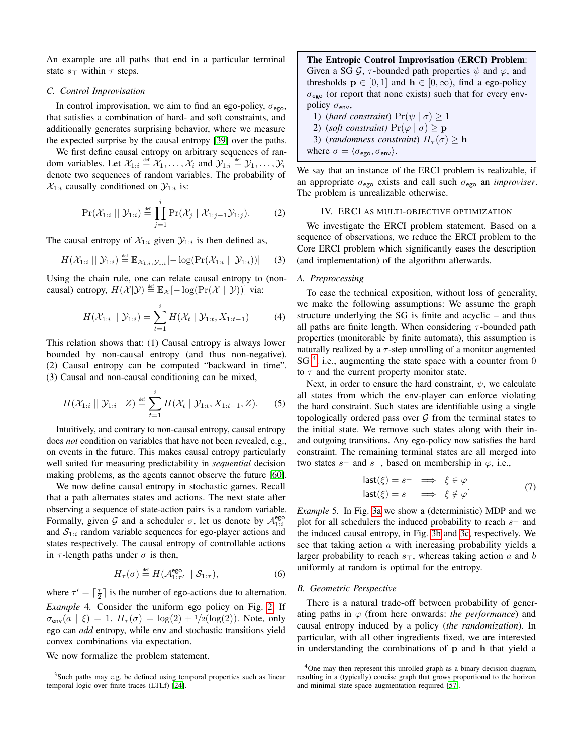An example are all paths that end in a particular terminal state  $s_{\top}$  within  $\tau$  steps.

# *C. Control Improvisation*

In control improvisation, we aim to find an ego-policy,  $\sigma_{\text{evo}}$ , that satisfies a combination of hard- and soft constraints, and additionally generates surprising behavior, where we measure the expected surprise by the causal entropy [39] over the paths.

We first define causal entropy on arbitrary sequences of random variables. Let  $\mathcal{X}_{1:i} \stackrel{\text{def}}{=} \mathcal{X}_1, \ldots, \mathcal{X}_i$  and  $\mathcal{Y}_{1:i} \stackrel{\text{def}}{=} \mathcal{Y}_1, \ldots, \mathcal{Y}_i$ denote two sequences of random variables. The probability of  $X_{1:i}$  causally conditioned on  $\mathcal{Y}_{1:i}$  is:

$$
\Pr(\mathcal{X}_{1:i} \mid \mid \mathcal{Y}_{1:i}) \stackrel{\text{def}}{=} \prod_{j=1}^{i} \Pr(\mathcal{X}_{j} \mid \mathcal{X}_{1:j-1} \mathcal{Y}_{1:j}). \tag{2}
$$

The causal entropy of  $\mathcal{X}_{1:i}$  given  $\mathcal{Y}_{1:i}$  is then defined as,

$$
H(\mathcal{X}_{1:i} \mid \mid \mathcal{Y}_{1:i}) \stackrel{\text{def}}{=} \mathbb{E}_{\mathcal{X}_{1:i},\mathcal{Y}_{1:i}}[-\log(\Pr(\mathcal{X}_{1:i} \mid \mid \mathcal{Y}_{1:i}))]
$$
(3)

Using the chain rule, one can relate causal entropy to (noncausal) entropy,  $H(\mathcal{X}|\mathcal{Y}) \stackrel{\text{def}}{=} \mathbb{E}_{\mathcal{X}}[-\log(\Pr(\mathcal{X} \mid \mathcal{Y}))]$  via:

$$
H(\mathcal{X}_{1:i} \mid \mid \mathcal{Y}_{1:i}) = \sum_{t=1}^{i} H(\mathcal{X}_t \mid \mathcal{Y}_{1:t}, X_{1:t-1})
$$
(4)

This relation shows that: (1) Causal entropy is always lower bounded by non-causal entropy (and thus non-negative). (2) Causal entropy can be computed "backward in time". (3) Causal and non-causal conditioning can be mixed,

$$
H(\mathcal{X}_{1:i} \mid \mid \mathcal{Y}_{1:i} \mid Z) \stackrel{\text{def}}{=} \sum_{t=1}^{i} H(\mathcal{X}_t \mid \mathcal{Y}_{1:t}, X_{1:t-1}, Z). \tag{5}
$$

Intuitively, and contrary to non-causal entropy, causal entropy does *not* condition on variables that have not been revealed, e.g., on events in the future. This makes causal entropy particularly well suited for measuring predictability in *sequential* decision making problems, as the agents cannot observe the future [\[60\]](#page-12-0).

We now define causal entropy in stochastic games. Recall that a path alternates states and actions. The next state after observing a sequence of state-action pairs is a random variable. Formally, given G and a scheduler  $\sigma$ , let us denote by  $\mathcal{A}_{1:i}^{\text{ego}}$ and  $S_{1:i}$  random variable sequences for ego-player actions and states respectively. The causal entropy of controllable actions in  $\tau$ -length paths under  $\sigma$  is then,

$$
H_{\tau}(\sigma) \stackrel{\text{def}}{=} H(\mathcal{A}_{1:\tau'}^{\text{ego}} \mid \mid \mathcal{S}_{1:\tau}), \tag{6}
$$

where  $\tau' = \lceil \frac{\tau}{2} \rceil$  is the number of ego-actions due to alternation. *Example* 4*.* Consider the uniform ego policy on Fig. [2.](#page-2-2) If  $\sigma_{env}(a \mid \xi) = 1$ .  $H_{\tau}(\sigma) = \log(2) + \frac{1}{2}(\log(2))$ . Note, only ego can *add* entropy, while env and stochastic transitions yield convex combinations via expectation.

We now formalize the problem statement.

The Entropic Control Improvisation (ERCI) Problem: Given a SG  $\mathcal{G}$ ,  $\tau$ -bounded path properties  $\psi$  and  $\varphi$ , and thresholds  $p \in [0, 1]$  and  $h \in [0, \infty)$ , find a ego-policy  $\sigma_{\text{ego}}$  (or report that none exists) such that for every envpolicy  $\sigma_{env}$ ,

- 1) (*hard constraint*)  $Pr(\psi \mid \sigma) \geq 1$
- 2) (*soft constraint*)  $Pr(\varphi | \sigma) \geq p$
- 3) (*randomness constraint*)  $H_{\tau}(\sigma) \geq h$

where  $\sigma = \langle \sigma_{\text{ego}}, \sigma_{\text{env}} \rangle$ .

We say that an instance of the ERCI problem is realizable, if an appropriate  $\sigma_{\text{ego}}$  exists and call such  $\sigma_{\text{ego}}$  an *improviser*. The problem is unrealizable otherwise.

# IV. ERCI AS MULTI-OBJECTIVE OPTIMIZATION

<span id="page-3-0"></span>We investigate the ERCI problem statement. Based on a sequence of observations, we reduce the ERCI problem to the Core ERCI problem which significantly eases the description (and implementation) of the algorithm afterwards.

#### *A. Preprocessing*

To ease the technical exposition, without loss of generality, we make the following assumptions: We assume the graph structure underlying the SG is finite and acyclic – and thus all paths are finite length. When considering  $\tau$ -bounded path properties (monitorable by finite automata), this assumption is naturally realized by a  $\tau$ -step unrolling of a monitor augmented SG<sup>4</sup>, i.e., augmenting the state space with a counter from  $0$ to  $\tau$  and the current property monitor state.

Next, in order to ensure the hard constraint,  $\psi$ , we calculate all states from which the env-player can enforce violating the hard constraint. Such states are identifiable using a single topologically ordered pass over  $G$  from the terminal states to the initial state. We remove such states along with their inand outgoing transitions. Any ego-policy now satisfies the hard constraint. The remaining terminal states are all merged into two states  $s_{\top}$  and  $s_{\bot}$ , based on membership in  $\varphi$ , i.e., An example are all paths that end in a particular terminal<br>
Cosen af Green a NG (). Problems<br>
Cosen a NG (). Problems<br>
Cosen a NG (). Problems<br>
Cosen a NG (). Problems<br>
Cosen by the consideration, we aim to trial an age p

$$
last(\xi) = s_{\top} \implies \xi \in \varphi
$$
  

$$
last(\xi) = s_{\bot} \implies \xi \notin \varphi
$$
 (7)

*Example* 5*.* In Fig. [3a](#page-4-0) we show a (deterministic) MDP and we plot for all schedulers the induced probability to reach  $s_{\perp}$  and the induced causal entropy, in Fig. [3b](#page-4-0) and [3c,](#page-4-0) respectively. We see that taking action  $a$  with increasing probability yields a larger probability to reach  $s_{\top}$ , whereas taking action a and b uniformly at random is optimal for the entropy.

#### *B. Geometric Perspective*

There is a natural trade-off between probability of generating paths in  $\varphi$  (from here onwards: *the performance*) and causal entropy induced by a policy (*the randomization*). In particular, with all other ingredients fixed, we are interested in understanding the combinations of p and h that yield a

<span id="page-3-1"></span><sup>&</sup>lt;sup>3</sup>Such paths may e.g. be defined using temporal properties such as linear temporal logic over finite traces (LTLf) [\[24\]](#page-10-7).

<span id="page-3-2"></span><sup>&</sup>lt;sup>4</sup>One may then represent this unrolled graph as a binary decision diagram, resulting in a (typically) concise graph that grows proportional to the horizon and minimal state space augmentation required [\[57\]](#page-11-5).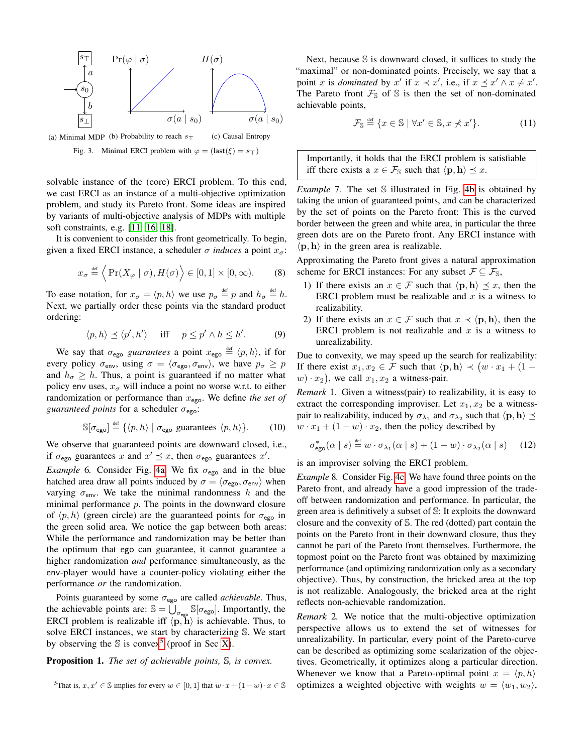<span id="page-4-0"></span>

Fig. 3. Minimal ERCI problem with  $\varphi = (\text{last}(\xi) = s_T)$ 

solvable instance of the (core) ERCI problem. To this end, we cast ERCI as an instance of a multi-objective optimization problem, and study its Pareto front. Some ideas are inspired by variants of multi-objective analysis of MDPs with multiple soft constraints, e.g. [\[11,](#page-10-8) [16,](#page-10-9) [18\]](#page-10-10).

It is convenient to consider this front geometrically. To begin, given a fixed ERCI instance, a scheduler  $\sigma$  *induces* a point  $x_{\sigma}$ :

$$
x_{\sigma} \stackrel{\text{def}}{=} \left\langle \Pr(X_{\varphi} \mid \sigma), H(\sigma) \right\rangle \in [0, 1] \times [0, \infty). \tag{8}
$$

To ease notation, for  $x_{\sigma} = \langle p, h \rangle$  we use  $p_{\sigma} \stackrel{\text{def}}{=} p$  and  $h_{\sigma} \stackrel{\text{def}}{=} h$ . Next, we partially order these points via the standard product ordering:

$$
\langle p, h \rangle \preceq \langle p', h' \rangle \quad \text{iff} \quad p \le p' \land h \le h'. \tag{9}
$$

We say that  $\sigma_{\text{ego}}$  *guarantees* a point  $x_{\text{ego}} \equiv \langle p, h \rangle$ , if for every policy  $\sigma_{env}$ , using  $\sigma = \langle \sigma_{ego}, \sigma_{env} \rangle$ , we have  $p_{\sigma} \geq p$ and  $h_{\sigma} \geq h$ . Thus, a point is guaranteed if no matter what policy env uses,  $x_{\sigma}$  will induce a point no worse w.r.t. to either randomization or performance than  $x_{\text{ego}}$ . We define *the set of guaranteed points* for a scheduler  $\sigma_{\text{ego}}$ :

$$
\mathbb{S}[\sigma_{\text{ego}}] \stackrel{\text{def}}{=} \{ \langle p, h \rangle \mid \sigma_{\text{ego}} \text{ guarantees } \langle p, h \rangle \}. \tag{10}
$$

We observe that guaranteed points are downward closed, i.e., if  $\sigma_{\text{ego}}$  guarantees x and  $x' \preceq x$ , then  $\sigma_{\text{ego}}$  guarantees x'.

*Example* 6. Consider Fig. 4a. We fix  $\sigma_{\text{ego}}$  and in the blue hatched area draw all points induced by  $\sigma = \langle \sigma_{\text{ego}}, \sigma_{\text{env}} \rangle$  when varying  $\sigma_{env}$ . We take the minimal randomness h and the minimal performance  $p$ . The points in the downward closure of  $\langle p, h \rangle$  (green circle) are the guaranteed points for  $\sigma_{\text{e}g}$  in the green solid area. We notice the gap between both areas: While the performance and randomization may be better than the optimum that ego can guarantee, it cannot guarantee a higher randomization *and* performance simultaneously, as the env-player would have a counter-policy violating either the performance *or* the randomization.

Points guaranteed by some  $\sigma_{\text{ego}}$  are called *achievable*. Thus, the achievable points are:  $\mathbb{S} = \bigcup_{\sigma_{\text{ego}}} \mathbb{S}[\sigma_{\text{ego}}]$ . Importantly, the ERCI problem is realizable iff  $\langle \mathbf{p}, \mathbf{h} \rangle$  is achievable. Thus, to solve ERCI instances, we start by characterizing S. We start by observing the  $S$  is convex<sup>[5](#page-4-1)</sup> (proof in Sec [X\)](#page-12-1).

<span id="page-4-4"></span>Proposition 1. *The set of achievable points,* S*, is convex.*

<span id="page-4-1"></span>5That is,  $x, x' \in \mathbb{S}$  implies for every  $w \in [0, 1]$  that  $w \cdot x + (1 - w) \cdot x \in \mathbb{S}$ 

Next, because  $S$  is downward closed, it suffices to study the "maximal" or non-dominated points. Precisely, we say that a point x is *dominated* by x' if  $x \prec x'$ , i.e., if  $x \preceq x' \land x \neq x'$ . The Pareto front  $\mathcal{F}_{\mathbb{S}}$  of  $\mathbb{S}$  is then the set of non-dominated achievable points,

$$
\mathcal{F}_{\mathbb{S}} \stackrel{\text{def}}{=} \{ x \in \mathbb{S} \mid \forall x' \in \mathbb{S}, x \neq x' \}. \tag{11}
$$

Importantly, it holds that the ERCI problem is satisfiable iff there exists a  $x \in \mathcal{F}_\mathbb{S}$  such that  $\langle \mathbf{p}, \mathbf{h} \rangle \preceq x$ .

*Example* 7. The set S illustrated in Fig. 4b is obtained by taking the union of guaranteed points, and can be characterized by the set of points on the Pareto front: This is the curved border between the green and white area, in particular the three green dots are on the Pareto front. Any ERCI instance with  $\langle \mathbf{p}, \mathbf{h} \rangle$  in the green area is realizable.

Approximating the Pareto front gives a natural approximation scheme for ERCI instances: For any subset  $\mathcal{F} \subseteq \mathcal{F}_{\mathbb{S}},$ 

- 1) If there exists an  $x \in \mathcal{F}$  such that  $\langle \mathbf{p}, \mathbf{h} \rangle \preceq x$ , then the ERCI problem must be realizable and  $x$  is a witness to realizability.
- 2) If there exists an  $x \in \mathcal{F}$  such that  $x \prec \langle \mathbf{p}, \mathbf{h} \rangle$ , then the ERCI problem is not realizable and  $x$  is a witness to unrealizability.

Due to convexity, we may speed up the search for realizability: If there exist  $x_1, x_2 \in \mathcal{F}$  such that  $\langle \mathbf{p}, \mathbf{h} \rangle \prec (w \cdot x_1 + (1 (w) \cdot x_2$ , we call  $x_1, x_2$  a witness-pair.

*Remark* 1*.* Given a witness(pair) to realizability, it is easy to extract the corresponding improviser. Let  $x_1, x_2$  be a witnesspair to realizability, induced by  $\sigma_{\lambda_1}$  and  $\sigma_{\lambda_2}$  such that  $\langle \mathbf{p}, \mathbf{h} \rangle \preceq$  $w \cdot x_1 + (1 - w) \cdot x_2$ , then the policy described by

$$
\sigma_{\text{ego}}^*(\alpha \mid s) \stackrel{\text{def}}{=} w \cdot \sigma_{\lambda_1}(\alpha \mid s) + (1 - w) \cdot \sigma_{\lambda_2}(\alpha \mid s) \tag{12}
$$

is an improviser solving the ERCI problem.

<span id="page-4-2"></span>*Example* 8*.* Consider Fig. [4c.](#page-5-1) We have found three points on the Pareto front, and already have a good impression of the tradeoff between randomization and performance. In particular, the green area is definitively a subset of S: It exploits the downward closure and the convexity of S. The red (dotted) part contain the points on the Pareto front in their downward closure, thus they cannot be part of the Pareto front themselves. Furthermore, the topmost point on the Pareto front was obtained by maximizing performance (and optimizing randomization only as a secondary objective). Thus, by construction, the bricked area at the top is not realizable. Analogously, the bricked area at the right reflects non-achievable randomization.

<span id="page-4-3"></span>*Remark* 2*.* We notice that the multi-objective optimization perspective allows us to extend the set of witnesses for unrealizability. In particular, every point of the Pareto-curve can be described as optimizing some scalarization of the objectives. Geometrically, it optimizes along a particular direction. Whenever we know that a Pareto-optimal point  $x = \langle p, h \rangle$ optimizes a weighted objective with weights  $w = \langle w_1, w_2 \rangle$ ,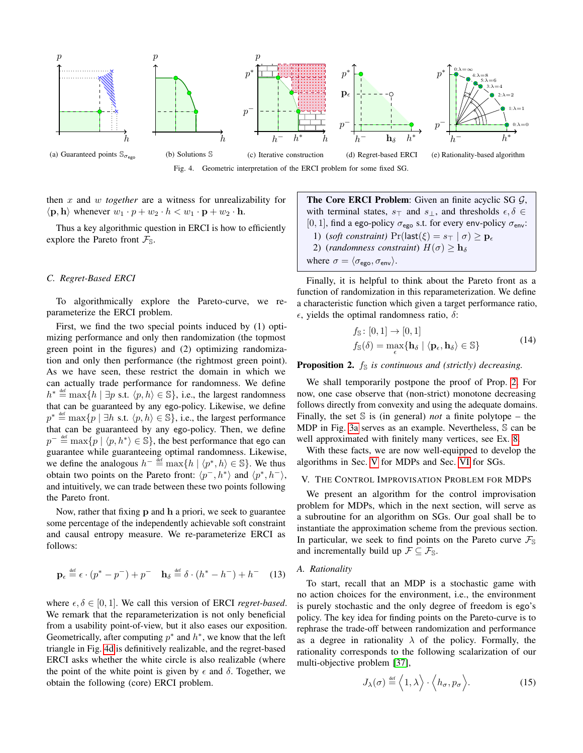<span id="page-5-1"></span>

Fig. 4. Geometric interpretation of the ERCI problem for some fixed SG.

then x and w *together* are a witness for unrealizability for  $\langle \mathbf{p}, \mathbf{h} \rangle$  whenever  $w_1 \cdot p + w_2 \cdot h < w_1 \cdot \mathbf{p} + w_2 \cdot \mathbf{h}$ .

Thus a key algorithmic question in ERCI is how to efficiently explore the Pareto front  $\mathcal{F}_{\mathbb{S}}$ .

## *C. Regret-Based ERCI*

To algorithmically explore the Pareto-curve, we reparameterize the ERCI problem.

First, we find the two special points induced by (1) optimizing performance and only then randomization (the topmost green point in the figures) and (2) optimizing randomization and only then performance (the rightmost green point). As we have seen, these restrict the domain in which we can actually trade performance for randomness. We define  $h^* \stackrel{\text{def}}{=} \max\{h \mid \exists p \text{ s.t. } \langle p, h \rangle \in \mathbb{S}\}\$ , i.e., the largest randomness that can be guaranteed by any ego-policy. Likewise, we define  $p^* \stackrel{\text{def}}{=} \max\{p \mid \exists h \text{ s.t. } \langle p, h \rangle \in \mathbb{S}\}, \text{ i.e., the largest performance}$ that can be guaranteed by any ego-policy. Then, we define  $p^{-} \stackrel{\text{def}}{=} \max\{p \mid \langle p, h^* \rangle \in \mathbb{S}\},$  the best performance that ego can guarantee while guaranteeing optimal randomness. Likewise, we define the analogous  $h^{-} \stackrel{\text{def}}{=} \max\{h \mid \langle p^*, h \rangle \in \mathbb{S}\}\.$  We thus obtain two points on the Pareto front:  $\langle p^-, h^* \rangle$  and  $\langle p^*, h^- \rangle$ , and intuitively, we can trade between these two points following the Pareto front.

Now, rather that fixing p and h a priori, we seek to guarantee some percentage of the independently achievable soft constraint and causal entropy measure. We re-parameterize ERCI as follows:

$$
\mathbf{p}_{\epsilon} \stackrel{\text{def}}{=} \epsilon \cdot (p^* - p^-) + p^- \quad \mathbf{h}_{\delta} \stackrel{\text{def}}{=} \delta \cdot (h^* - h^-) + h^- \quad (13)
$$

where  $\epsilon, \delta \in [0, 1]$ . We call this version of ERCI *regret-based*. We remark that the reparameterization is not only beneficial from a usability point-of-view, but it also eases our exposition. Geometrically, after computing  $p^*$  and  $h^*$ , we know that the left triangle in Fig. [4d](#page-5-1) is definitively realizable, and the regret-based ERCI asks whether the white circle is also realizable (where the point of the white point is given by  $\epsilon$  and  $\delta$ . Together, we obtain the following (core) ERCI problem.

**The Core ERCI Problem:** Given an finite acyclic SG  $\mathcal{G}$ , with terminal states,  $s_{\top}$  and  $s_{\bot}$ , and thresholds  $\epsilon, \delta \in$ [0, 1], find a ego-policy  $\sigma_{\text{ego}}$  s.t. for every env-policy  $\sigma_{\text{env}}$ : 1) (*soft constraint*)  $Pr(\textsf{last}(\xi) = s_\top \mid \sigma) \geq p_\epsilon$ 2) (*randomness constraint*)  $H(\sigma) \geq h_{\delta}$ where  $\sigma = \langle \sigma_{\text{ego}}, \sigma_{\text{env}} \rangle$ .

Finally, it is helpful to think about the Pareto front as a function of randomization in this reparameterization. We define a characteristic function which given a target performance ratio,  $\epsilon$ , yields the optimal randomness ratio,  $\delta$ :

$$
f_{\mathbb{S}} \colon [0,1] \to [0,1]
$$
  

$$
f_{\mathbb{S}}(\delta) = \max_{\epsilon} \{ \mathbf{h}_{\delta} \mid \langle \mathbf{p}_{\epsilon}, \mathbf{h}_{\delta} \rangle \in \mathbb{S} \}
$$
(14)

# <span id="page-5-2"></span>Proposition 2.  $f_s$  *is continuous and (strictly) decreasing.*

We shall temporarily postpone the proof of Prop. 2. For now, one case observe that (non-strict) monotone decreasing follows directly from convexity and using the adequate domains. Finally, the set S is (in general) *not* a finite polytope – the MDP in Fig. 3a serves as an example. Nevertheless, S can be well approximated with finitely many vertices, see Ex. 8.

With these facts, we are now well-equipped to develop the algorithms in Sec. V for MDPs and Sec. VI for SGs.

# <span id="page-5-0"></span>V. THE CONTROL IMPROVISATION PROBLEM FOR MDPS

We present an algorithm for the control improvisation problem for MDPs, which in the next section, will serve as a subroutine for an algorithm on SGs. Our goal shall be to instantiate the approximation scheme from the previous section. In particular, we seek to find points on the Pareto curve  $\mathcal{F}_s$ and incrementally build up  $\mathcal{F} \subseteq \mathcal{F}_{\mathbb{S}}$ .

#### *A. Rationality*

To start, recall that an MDP is a stochastic game with no action choices for the environment, i.e., the environment is purely stochastic and the only degree of freedom is ego's policy. The key idea for finding points on the Pareto-curve is to rephrase the trade-off between randomization and performance as a degree in rationality  $\lambda$  of the policy. Formally, the rationality corresponds to the following scalarization of our multi-objective problem [\[37\]](#page-11-9),

<span id="page-5-3"></span>
$$
J_{\lambda}(\sigma) \stackrel{\text{def}}{=} \langle 1, \lambda \rangle \cdot \langle h_{\sigma}, p_{\sigma} \rangle. \tag{15}
$$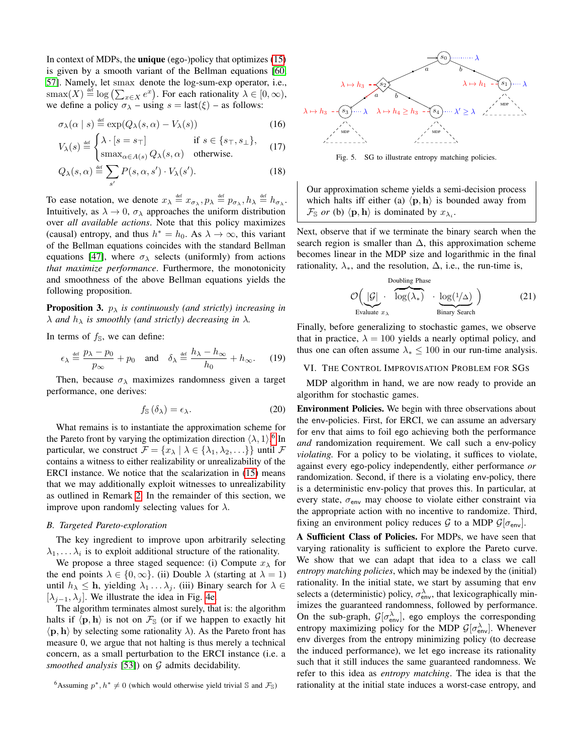In context of MDPs, the unique (ego-)policy that optimizes (15) is given by a smooth variant of the Bellman equations [60, 57]. Namely, let smax denote the log-sum-exp operator, i.e.,  $\operatorname{smax}(X) \stackrel{\text{def}}{=} \log \left( \sum_{x \in X} e^x \right)$ . For each rationality  $\lambda \in [0, \infty)$ , we define a policy  $\sigma_{\lambda}$  – using  $s = \text{last}(\xi)$  – as follows:

$$
\sigma_{\lambda}(\alpha \mid s) \stackrel{\text{def}}{=} \exp(Q_{\lambda}(s, \alpha) - V_{\lambda}(s)) \tag{16}
$$

$$
V_{\lambda}(s) \stackrel{\text{def}}{=} \begin{cases} \lambda \cdot [s = s_{\top}] & \text{if } s \in \{s_{\top}, s_{\bot}\}, \\ \text{smax}_{\alpha \in A(s)} Q_{\lambda}(s, \alpha) & \text{otherwise.} \end{cases}
$$
(17)

$$
Q_{\lambda}(s,\alpha) \stackrel{\text{def}}{=} \sum_{s'} P(s,\alpha,s') \cdot V_{\lambda}(s'). \tag{18}
$$

To ease notation, we denote  $x_{\lambda} \stackrel{\text{def}}{=} x_{\sigma_{\lambda}}, p_{\lambda} \stackrel{\text{def}}{=} p_{\sigma_{\lambda}}, h_{\lambda} \stackrel{\text{def}}{=} h_{\sigma_{\lambda}}.$ Intuitively, as  $\lambda \to 0$ ,  $\sigma_{\lambda}$  approaches the uniform distribution over *all available actions*. Note that this policy maximizes (causal) entropy, and thus  $h^* = h_0$ . As  $\lambda \to \infty$ , this variant of the Bellman equations coincides with the standard Bellman equations [\[47\]](#page-11-10), where  $\sigma_{\lambda}$  selects (uniformly) from actions *that maximize performance*. Furthermore, the monotonicity and smoothness of the above Bellman equations yields the following proposition.

Proposition 3. p<sup>λ</sup> *is continuously (and strictly) increasing in*  $\lambda$  *and*  $h_{\lambda}$  *is smoothly (and strictly) decreasing in*  $\lambda$ *.* 

In terms of  $f_s$ , we can define:

$$
\epsilon_{\lambda} \stackrel{\text{def}}{=} \frac{p_{\lambda} - p_0}{p_{\infty}} + p_0 \quad \text{and} \quad \delta_{\lambda} \stackrel{\text{def}}{=} \frac{h_{\lambda} - h_{\infty}}{h_0} + h_{\infty}. \tag{19}
$$

Then, because  $\sigma_{\lambda}$  maximizes randomness given a target performance, one derives:

$$
f_{\mathbb{S}}\left(\delta_{\lambda}\right) = \epsilon_{\lambda}.\tag{20}
$$

What remains is to instantiate the approximation scheme for the Pareto front by varying the optimization direction  $\langle \lambda, 1 \rangle$ .<sup>6</sup> In particular, we construct  $\mathcal{F} = \{x_{\lambda} | \lambda \in \{\lambda_1, \lambda_2, ...\} \}$  until  $\mathcal{F}$ contains a witness to either realizability or unrealizability of the ERCI instance. We notice that the scalarization in [\(15\)](#page-5-3) means that we may additionally exploit witnesses to unrealizability as outlined in Remark [2.](#page-4-3) In the remainder of this section, we improve upon randomly selecting values for  $\lambda$ .

#### *B. Targeted Pareto-exploration*

The key ingredient to improve upon arbitrarily selecting  $\lambda_1, \ldots, \lambda_i$  is to exploit additional structure of the rationality.

We propose a three staged sequence: (i) Compute  $x_{\lambda}$  for the end points  $\lambda \in \{0, \infty\}$ . (ii) Double  $\lambda$  (starting at  $\lambda = 1$ ) until  $h_{\lambda} \leq h$ , yielding  $\lambda_1 \ldots \lambda_j$ . (iii) Binary search for  $\lambda \in$  $[\lambda_{i-1}, \lambda_i]$ . We illustrate the idea in Fig. [4e.](#page-5-1)

The algorithm terminates almost surely, that is: the algorithm halts if  $\langle \mathbf{p}, \mathbf{h} \rangle$  is not on  $\mathcal{F}_\mathbb{S}$  (or if we happen to exactly hit  $\langle \mathbf{p}, \mathbf{h} \rangle$  by selecting some rationality  $\lambda$ ). As the Pareto front has measure 0, we argue that not halting is thus merely a technical concern, as a small perturbation to the ERCI instance (i.e. a *smoothed analysis* [\[53\]](#page-11-11)) on G admits decidability.



<span id="page-6-3"></span><span id="page-6-2"></span>Fig. 5. SG to illustrate entropy matching policies.

<span id="page-6-4"></span>Our approximation scheme yields a semi-decision process which halts iff either (a)  $\langle \mathbf{p}, \mathbf{h} \rangle$  is bounded away from  $\mathcal{F}_\mathbb{S}$  *or* (b)  $\langle \mathbf{p}, \mathbf{h} \rangle$  is dominated by  $x_{\lambda_i}$ .

Next, observe that if we terminate the binary search when the search region is smaller than  $\Delta$ , this approximation scheme becomes linear in the MDP size and logarithmic in the final rationality,  $\lambda_*$ , and the resolution,  $\Delta$ , i.e., the run-time is,

$$
\mathcal{O}\left(\underbrace{|G|}_{\text{Evaluate } x_{\lambda}} \cdot \frac{\text{Doubling Phase}}{\log(\lambda_*)} \cdot \underbrace{\log(1/\Delta)}_{\text{Binary Search}}\right) \tag{21}
$$

Finally, before generalizing to stochastic games, we observe that in practice,  $\lambda = 100$  yields a nearly optimal policy, and thus one can often assume  $\lambda_* \leq 100$  in our run-time analysis.

#### <span id="page-6-0"></span>VI. THE CONTROL IMPROVISATION PROBLEM FOR SGS

MDP algorithm in hand, we are now ready to provide an algorithm for stochastic games.

Environment Policies. We begin with three observations about the env-policies. First, for ERCI, we can assume an adversary for env that aims to foil ego achieving both the performance *and* randomization requirement. We call such a env-policy *violating.* For a policy to be violating, it suffices to violate, against every ego-policy independently, either performance *or* randomization. Second, if there is a violating env-policy, there is a deterministic env-policy that proves this. In particular, at every state,  $\sigma_{env}$  may choose to violate either constraint via the appropriate action with no incentive to randomize. Third, fixing an environment policy reduces G to a MDP  $\mathcal{G}[\sigma_{env}]$ .

A Sufficient Class of Policies. For MDPs, we have seen that varying rationality is sufficient to explore the Pareto curve. We show that we can adapt that idea to a class we call *entropy matching policies*, which may be indexed by the (initial) rationality. In the initial state, we start by assuming that env selects a (deterministic) policy,  $\sigma_{env}^{\lambda}$ , that lexicographically minimizes the guaranteed randomness, followed by performance. On the sub-graph,  $G[\sigma_{env}^{\lambda}]$ , ego employs the corresponding entropy maximizing policy for the MDP  $G[\sigma_{env}^{\lambda}]$ . Whenever env diverges from the entropy minimizing policy (to decrease the induced performance), we let ego increase its rationality such that it still induces the same guaranteed randomness. We refer to this idea as *entropy matching*. The idea is that the rationality at the initial state induces a worst-case entropy, and

<span id="page-6-1"></span><sup>&</sup>lt;sup>6</sup>Assuming  $p^*, h^* \neq 0$  (which would otherwise yield trivial S and  $\mathcal{F}_\mathbb{S}$ )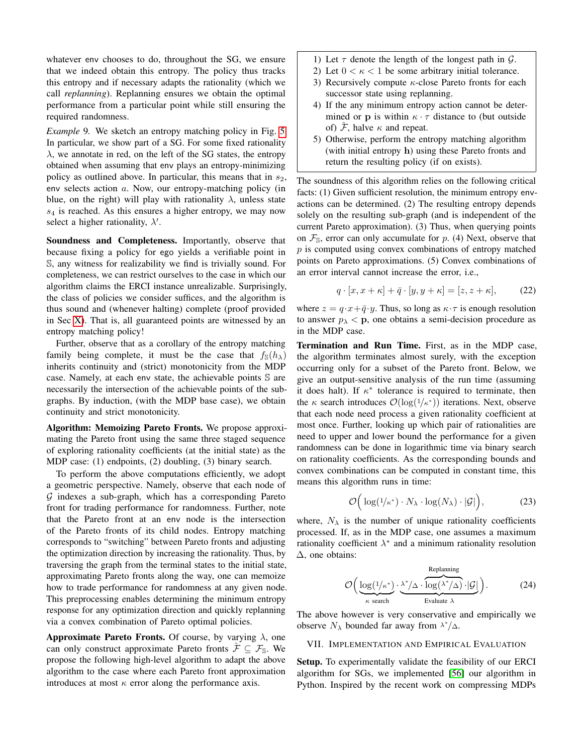whatever env chooses to do, throughout the SG, we ensure that we indeed obtain this entropy. The policy thus tracks this entropy and if necessary adapts the rationality (which we call *replanning*). Replanning ensures we obtain the optimal performance from a particular point while still ensuring the required randomness.

*Example* 9*.* We sketch an entropy matching policy in Fig. 5. In particular, we show part of a SG. For some fixed rationality  $\lambda$ , we annotate in red, on the left of the SG states, the entropy obtained when assuming that env plays an entropy-minimizing policy as outlined above. In particular, this means that in  $s_2$ , env selects action a. Now, our entropy-matching policy (in blue, on the right) will play with rationality  $\lambda$ , unless state  $s_4$  is reached. As this ensures a higher entropy, we may now select a higher rationality,  $\lambda'$ .

Soundness and Completeness. Importantly, observe that because fixing a policy for ego yields a verifiable point in S, any witness for realizability we find is trivially sound. For completeness, we can restrict ourselves to the case in which our algorithm claims the ERCI instance unrealizable. Surprisingly, the class of policies we consider suffices, and the algorithm is thus sound and (whenever halting) complete (proof provided in Sec X). That is, all guaranteed points are witnessed by an entropy matching policy!

Further, observe that as a corollary of the entropy matching family being complete, it must be the case that  $f_{\rm S}(h_{\lambda})$ inherits continuity and (strict) monotonicity from the MDP case. Namely, at each env state, the achievable points S are necessarily the intersection of the achievable points of the subgraphs. By induction, (with the MDP base case), we obtain continuity and strict monotonicity.

Algorithm: Memoizing Pareto Fronts. We propose approximating the Pareto front using the same three staged sequence of exploring rationality coefficients (at the initial state) as the MDP case: (1) endpoints, (2) doubling, (3) binary search.

To perform the above computations efficiently, we adopt a geometric perspective. Namely, observe that each node of  $G$  indexes a sub-graph, which has a corresponding Pareto front for trading performance for randomness. Further, note that the Pareto front at an env node is the intersection of the Pareto fronts of its child nodes. Entropy matching corresponds to "switching" between Pareto fronts and adjusting the optimization direction by increasing the rationality. Thus, by traversing the graph from the terminal states to the initial state, approximating Pareto fronts along the way, one can memoize how to trade performance for randomness at any given node. This preprocessing enables determining the minimum entropy response for any optimization direction and quickly replanning via a convex combination of Pareto optimal policies.

Approximate Pareto Fronts. Of course, by varying  $\lambda$ , one can only construct approximate Pareto fronts  $\hat{\mathcal{F}} \subseteq \mathcal{F}_{\mathbb{S}}$ . We propose the following high-level algorithm to adapt the above algorithm to the case where each Pareto front approximation introduces at most  $\kappa$  error along the performance axis.

- 1) Let  $\tau$  denote the length of the longest path in  $\mathcal{G}$ .
- 2) Let  $0 < \kappa < 1$  be some arbitrary initial tolerance.
- 3) Recursively compute  $\kappa$ -close Pareto fronts for each successor state using replanning.
- 4) If the any minimum entropy action cannot be determined or **p** is within  $\kappa \cdot \tau$  distance to (but outside of)  $\mathcal{F}$ , halve  $\kappa$  and repeat.
- 5) Otherwise, perform the entropy matching algorithm (with initial entropy h) using these Pareto fronts and return the resulting policy (if on exists).

The soundness of this algorithm relies on the following critical facts: (1) Given sufficient resolution, the minimum entropy envactions can be determined. (2) The resulting entropy depends solely on the resulting sub-graph (and is independent of the current Pareto approximation). (3) Thus, when querying points on  $\mathcal{F}_{\mathbb{S}}$ , error can only accumulate for p. (4) Next, observe that  $p$  is computed using convex combinations of entropy matched points on Pareto approximations. (5) Convex combinations of an error interval cannot increase the error, i.e.,

$$
q \cdot [x, x + \kappa] + \bar{q} \cdot [y, y + \kappa] = [z, z + \kappa], \quad (22)
$$

where  $z = q \cdot x + \bar{q} \cdot y$ . Thus, so long as  $\kappa \cdot \tau$  is enough resolution to answer  $p_{\lambda}$  < p, one obtains a semi-decision procedure as in the MDP case.

Termination and Run Time. First, as in the MDP case, the algorithm terminates almost surely, with the exception occurring only for a subset of the Pareto front. Below, we give an output-sensitive analysis of the run time (assuming it does halt). If  $\kappa^*$  tolerance is required to terminate, then the  $\kappa$  search introduces  $\mathcal{O}(\log(1/\kappa^*))$  iterations. Next, observe that each node need process a given rationality coefficient at most once. Further, looking up which pair of rationalities are need to upper and lower bound the performance for a given randomness can be done in logarithmic time via binary search on rationality coefficients. As the corresponding bounds and convex combinations can be computed in constant time, this means this algorithm runs in time: whateveeve chooses is dot throughout the 8G, we invariant the high of the length of the length of the length of the length of the length of the length of the length of the length of the length of the length of the length

$$
\mathcal{O}\Big(\log(1/\kappa^*)\cdot N_\lambda\cdot\log(N_\lambda)\cdot|\mathcal{G}|\Big),\tag{23}
$$

where,  $N_{\lambda}$  is the number of unique rationality coefficients processed. If, as in the MDP case, one assumes a maximum rationality coefficient  $\lambda^*$  and a minimum rationality resolution ∆, one obtains:

$$
\mathcal{O}\left(\underbrace{\log(1/\kappa^*)}_{\kappa \text{ search}} \cdot \underbrace{\lambda^*/\Delta \cdot \log(\lambda^*/\Delta) \cdot |\mathcal{G}|}_{\text{Evaluate }\lambda}\right).
$$
 (24)

The above however is very conservative and empirically we observe  $N_{\lambda}$  bounded far away from  $\lambda^*/\Delta$ .

### <span id="page-7-0"></span>VII. IMPLEMENTATION AND EMPIRICAL EVALUATION

Setup. To experimentally validate the feasibility of our ERCI algorithm for SGs, we implemented [\[56\]](#page-11-12) our algorithm in Python. Inspired by the recent work on compressing MDPs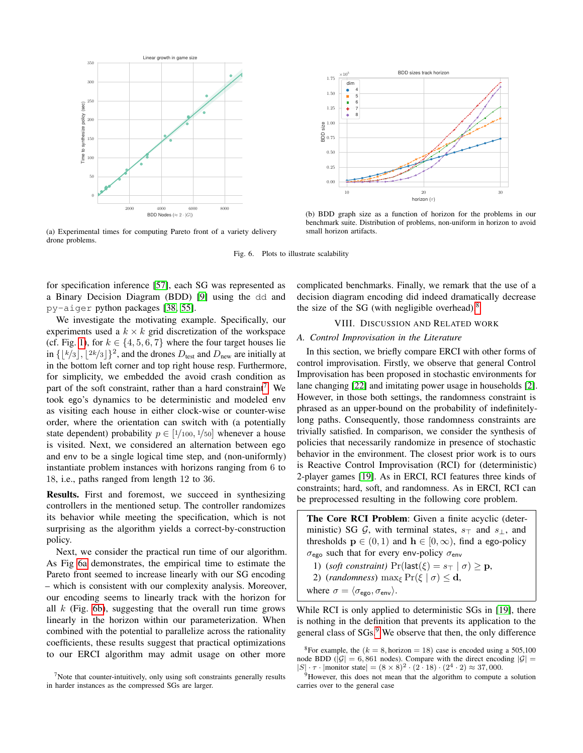<span id="page-8-2"></span>

(a) Experimental times for computing Pareto front of a variety delivery drone problems.



for specification inference [\[57\]](#page-11-5), each SG was represented as a Binary Decision Diagram (BDD) [9] using the dd and py-aiger python packages [38, 55].

We investigate the motivating example. Specifically, our experiments used a  $k \times k$  grid discretization of the workspace (cf. Fig. 1), for  $k \in \{4, 5, 6, 7\}$  where the four target houses lie in  $\{ \lfloor k/3 \rfloor, \lfloor 2k/3 \rfloor \}^2$ , and the drones  $D_{\text{test}}$  and  $D_{\text{new}}$  are initially at in the bottom left corner and top right house resp. Furthermore, for simplicity, we embedded the avoid crash condition as part of the soft constraint, rather than a hard constraint<sup>7</sup>. We took ego's dynamics to be deterministic and modeled env as visiting each house in either clock-wise or counter-wise order, where the orientation can switch with (a potentially state dependent) probability  $p \in [1/100, 1/50]$  whenever a house is visited. Next, we considered an alternation between ego and env to be a single logical time step, and (non-uniformly) instantiate problem instances with horizons ranging from 6 to 18, i.e., paths ranged from length 12 to 36. andthe second versus and the second versus of  $\frac{1}{2}$ <br>  $\frac{1}{2}$ <br>  $\frac{1}{2}$ <br>  $\frac{1}{2}$ <br>  $\frac{1}{2}$ <br>  $\frac{1}{2}$ <br>  $\frac{1}{2}$ <br>  $\frac{1}{2}$ <br>  $\frac{1}{2}$ <br>  $\frac{1}{2}$ <br>  $\frac{1}{2}$ <br>  $\frac{1}{2}$ <br>  $\frac{1}{2}$ <br>  $\frac{1}{2}$ <br>  $\frac{1}{2}$ <br>  $\frac{1}{2}$ 

Results. First and foremost, we succeed in synthesizing controllers in the mentioned setup. The controller randomizes its behavior while meeting the specification, which is not surprising as the algorithm yields a correct-by-construction policy.

Next, we consider the practical run time of our algorithm. As Fig [6a](#page-8-2) demonstrates, the empirical time to estimate the Pareto front seemed to increase linearly with our SG encoding – which is consistent with our complexity analysis. Moreover, our encoding seems to linearly track with the horizon for all  $k$  (Fig. [6b\)](#page-8-2), suggesting that the overall run time grows linearly in the horizon within our parameterization. When combined with the potential to parallelize across the rationality coefficients, these results suggest that practical optimizations to our ERCI algorithm may admit usage on other more



(b) BDD graph size as a function of horizon for the problems in our benchmark suite. Distribution of problems, non-uniform in horizon to avoid small horizon artifacts.

Fig. 6. Plots to illustrate scalability

complicated benchmarks. Finally, we remark that the use of a decision diagram encoding did indeed dramatically decrease the size of the SG (with negligible overhead). $8$ 

# VIII. DISCUSSION AND RELATED WORK

### <span id="page-8-0"></span>*A. Control Improvisation in the Literature*

In this section, we briefly compare ERCI with other forms of control improvisation. Firstly, we observe that general Control Improvisation has been proposed in stochastic environments for lane changing [22] and imitating power usage in households [2]. However, in those both settings, the randomness constraint is phrased as an upper-bound on the probability of indefinitelylong paths. Consequently, those randomness constraints are trivially satisfied. In comparison, we consider the synthesis of policies that necessarily randomize in presence of stochastic behavior in the environment. The closest prior work is to ours is Reactive Control Improvisation (RCI) for (deterministic) 2-player games [\[19\]](#page-10-4). As in ERCI, RCI features three kinds of constraints; hard, soft, and randomness. As in ERCI, RCI can be preprocessed resulting in the following core problem.

The Core RCI Problem: Given a finite acyclic (deterministic) SG  $\mathcal{G}$ , with terminal states,  $s_{\top}$  and  $s_{\bot}$ , and thresholds  $p \in (0, 1)$  and  $h \in [0, \infty)$ , find a ego-policy  $\sigma_{\text{ego}}$  such that for every env-policy  $\sigma_{\text{env}}$ 

1) (*soft constraint*)  $Pr(\text{last}(\xi) = s_\top \mid \sigma) \geq p$ ,

2) *(randomness)* 
$$
\max_{\xi} \Pr(\xi \mid \sigma) \leq \mathbf{d},
$$

where  $\sigma = \langle \sigma_{\text{ego}}, \sigma_{\text{env}} \rangle$ .

While RCI is only applied to deterministic SGs in [\[19\]](#page-10-4), there is nothing in the definition that prevents its application to the general class of SGs.<sup>[9](#page-8-4)</sup> We observe that then, the only difference

<span id="page-8-1"></span><sup>&</sup>lt;sup>7</sup>Note that counter-intuitively, only using soft constraints generally results in harder instances as the compressed SGs are larger.

<span id="page-8-3"></span><sup>&</sup>lt;sup>8</sup>For example, the  $(k = 8, \text{horizon} = 18)$  case is encoded using a 505,100 node BDD ( $|\mathcal{G}| = 6,861$  nodes). Compare with the direct encoding  $|\mathcal{G}| =$  $|S| \cdot \tau \cdot |$  monitor state $| = (8 \times 8)^2 \cdot (2 \cdot 18) \cdot (2^4 \cdot 2) \approx 37,000.$ 

<span id="page-8-4"></span><sup>&</sup>lt;sup>9</sup>However, this does not mean that the algorithm to compute a solution carries over to the general case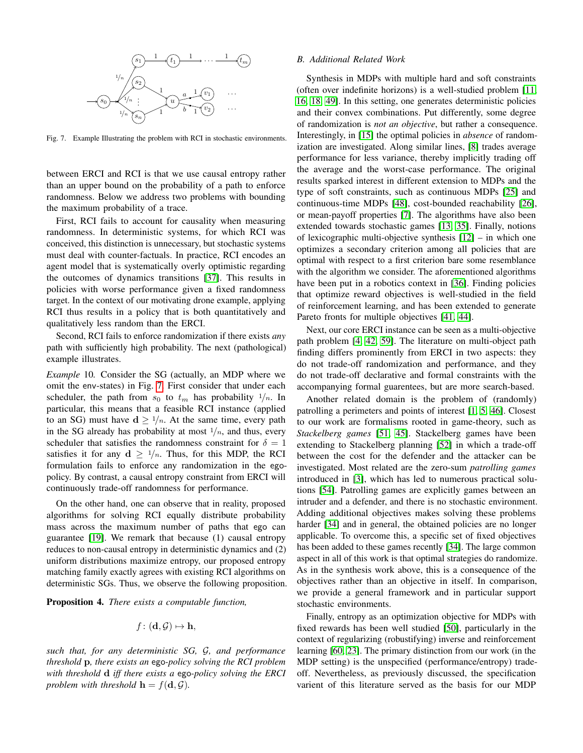<span id="page-9-0"></span>

Fig. 7. Example Illustrating the problem with RCI in stochastic environments.

between ERCI and RCI is that we use causal entropy rather than an upper bound on the probability of a path to enforce randomness. Below we address two problems with bounding the maximum probability of a trace.

First, RCI fails to account for causality when measuring randomness. In deterministic systems, for which RCI was conceived, this distinction is unnecessary, but stochastic systems must deal with counter-factuals. In practice, RCI encodes an agent model that is systematically overly optimistic regarding the outcomes of dynamics transitions [\[37\]](#page-11-9). This results in policies with worse performance given a fixed randomness target. In the context of our motivating drone example, applying RCI thus results in a policy that is both quantitatively and qualitatively less random than the ERCI.

Second, RCI fails to enforce randomization if there exists *any* path with sufficiently high probability. The next (pathological) example illustrates.

*Example* 10*.* Consider the SG (actually, an MDP where we omit the env-states) in Fig. 7. First consider that under each scheduler, the path from  $s_0$  to  $t_m$  has probability  $1/n$ . In particular, this means that a feasible RCI instance (applied to an SG) must have  $d \ge 1/n$ . At the same time, every path in the SG already has probability at most  $1/n$ , and thus, every scheduler that satisfies the randomness constraint for  $\delta = 1$ satisfies it for any  $d \geq 1/n$ . Thus, for this MDP, the RCI formulation fails to enforce any randomization in the egopolicy. By contrast, a causal entropy constraint from ERCI will continuously trade-off randomness for performance.

On the other hand, one can observe that in reality, proposed algorithms for solving RCI equally distribute probability mass across the maximum number of paths that ego can guarantee [\[19\]](#page-10-4). We remark that because (1) causal entropy reduces to non-causal entropy in deterministic dynamics and (2) uniform distributions maximize entropy, our proposed entropy matching family exactly agrees with existing RCI algorithms on deterministic SGs. Thus, we observe the following proposition.

Proposition 4. *There exists a computable function,*

$$
f\colon (\mathbf{d},\mathcal{G}) \mapsto \mathbf{h},
$$

*such that, for any deterministic SG,* G*, and performance threshold* p*, there exists an* ego*-policy solving the RCI problem with threshold* d *iff there exists a* ego*-policy solving the ERCI problem with threshold*  $\mathbf{h} = f(\mathbf{d}, \mathcal{G})$ *.* 

#### *B. Additional Related Work*

Synthesis in MDPs with multiple hard and soft constraints (often over indefinite horizons) is a well-studied problem [11, 16, 18, 49]. In this setting, one generates deterministic policies and their convex combinations. Put differently, some degree of randomization is *not an objective*, but rather a consequence. Interestingly, in [15] the optimal policies in *absence* of randomization are investigated. Along similar lines, [\[8\]](#page-10-15) trades average performance for less variance, thereby implicitly trading off the average and the worst-case performance. The original results sparked interest in different extension to MDPs and the type of soft constraints, such as continuous MDPs [\[25\]](#page-10-16) and continuous-time MDPs [\[48\]](#page-11-16), cost-bounded reachability [\[26\]](#page-10-17), or mean-payoff properties [\[7\]](#page-10-18). The algorithms have also been extended towards stochastic games [13, 35]. Finally, notions of lexicographic multi-objective synthesis [12] – in which one optimizes a secondary criterion among all policies that are optimal with respect to a first criterion bare some resemblance with the algorithm we consider. The aforementioned algorithms have been put in a robotics context in [36]. Finding policies that optimize reward objectives is well-studied in the field of reinforcement learning, and has been extended to generate Pareto fronts for multiple objectives [41, 44].  $\label{eq:20} \begin{tabular}{|c|c|} \hline \end{tabular} \hline \rule{0mm}{0mm} \hline \end{tabular} \hline \rule{0mm}{0mm} \hline \end{tabular} \hline \rule{0mm}{0mm} \hline \end{tabular} \hline \rule{0mm}{0mm} \hline \end{tabular} \hline \rule{0mm}{0mm} \hline \end{tabular} \hline \rule{0mm}{0mm} \hline \end{tabular} \hline \rule{0mm}{0mm} \hline \end{tabular} \hline \rule{0mm}{0mm} \hline \end{tabular} \hline \rule{0mm}{0mm} \hline \end{tabular} \h$ 

Next, our core ERCI instance can be seen as a multi-objective path problem [4, 42, 59]. The literature on multi-object path finding differs prominently from ERCI in two aspects: they do not trade-off randomization and performance, and they do not trade-off declarative and formal constraints with the accompanying formal guarentees, but are more search-based.

Another related domain is the problem of (randomly) patrolling a perimeters and points of interest [1, 5, 46]. Closest to our work are formalisms rooted in game-theory, such as *Stackelberg games* [51, 45]. Stackelberg games have been extending to Stackelberg planning [52] in which a trade-off between the cost for the defender and the attacker can be investigated. Most related are the zero-sum *patrolling games* introduced in [\[3\]](#page-10-2), which has led to numerous practical solutions [\[54\]](#page-11-25). Patrolling games are explicitly games between an intruder and a defender, and there is no stochastic environment. Adding additional objectives makes solving these problems harder [\[34\]](#page-11-26) and in general, the obtained policies are no longer applicable. To overcome this, a specific set of fixed objectives has been added to these games recently [\[34\]](#page-11-26). The large common aspect in all of this work is that optimal strategies do randomize. As in the synthesis work above, this is a consequence of the objectives rather than an objective in itself. In comparison, we provide a general framework and in particular support stochastic environments.

Finally, entropy as an optimization objective for MDPs with fixed rewards has been well studied [\[50\]](#page-11-27), particularly in the context of regularizing (robustifying) inverse and reinforcement learning [\[60,](#page-12-0) [23\]](#page-10-24). The primary distinction from our work (in the MDP setting) is the unspecified (performance/entropy) tradeoff. Nevertheless, as previously discussed, the specification varient of this literature served as the basis for our MDP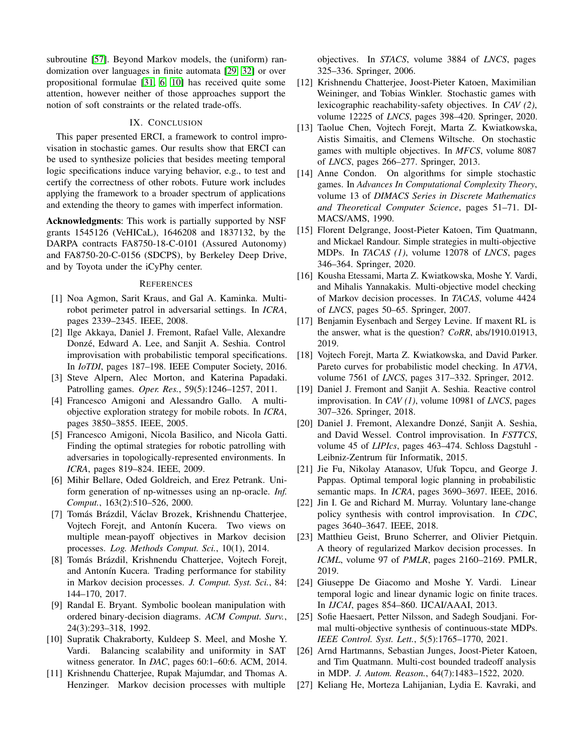subroutine [57]. Beyond Markov models, the (uniform) randomization over languages in finite automata [29, 32] or over propositional formulae [31, 6, 10] has received quite some attention, however neither of those approaches support the notion of soft constraints or the related trade-offs.

## IX. CONCLUSION

This paper presented ERCI, a framework to control improvisation in stochastic games. Our results show that ERCI can be used to synthesize policies that besides meeting temporal logic specifications induce varying behavior, e.g., to test and certify the correctness of other robots. Future work includes applying the framework to a broader spectrum of applications and extending the theory to games with imperfect information. solutioning1971. Beyond Markov models, the funitioning mass of ASAN, volume 2008 of ASAN, angeled the<br>measurement in the material 124–32) or every 123 A. Son fortune 2008 of ASAN, volume 2008 of ASAN, pages<br>measurement i

Acknowledgments: This work is partially supported by NSF grants 1545126 (VeHICaL), 1646208 and 1837132, by the DARPA contracts FA8750-18-C-0101 (Assured Autonomy) and FA8750-20-C-0156 (SDCPS), by Berkeley Deep Drive, and by Toyota under the iCyPhy center.

#### **REFERENCES**

- <span id="page-10-22"></span>[1] Noa Agmon, Sarit Kraus, and Gal A. Kaminka. Multirobot perimeter patrol in adversarial settings. In *ICRA*, pages 2339–2345. IEEE, 2008.
- <span id="page-10-13"></span>[2] Ilge Akkaya, Daniel J. Fremont, Rafael Valle, Alexandre Donzé, Edward A. Lee, and Sanjit A. Seshia. Control improvisation with probabilistic temporal specifications. In *IoTDI*, pages 187–198. IEEE Computer Society, 2016.
- <span id="page-10-2"></span>[3] Steve Alpern, Alec Morton, and Katerina Papadaki. Patrolling games. *Oper. Res.*, 59(5):1246–1257, 2011.
- <span id="page-10-21"></span>[4] Francesco Amigoni and Alessandro Gallo. A multiobjective exploration strategy for mobile robots. In *ICRA*, pages 3850–3855. IEEE, 2005.
- <span id="page-10-23"></span>[5] Francesco Amigoni, Nicola Basilico, and Nicola Gatti. Finding the optimal strategies for robotic patrolling with adversaries in topologically-represented environments. In *ICRA*, pages 819–824. IEEE, 2009.
- <span id="page-10-25"></span>[6] Mihir Bellare, Oded Goldreich, and Erez Petrank. Uniform generation of np-witnesses using an np-oracle. *Inf. Comput.*, 163(2):510–526, 2000.
- <span id="page-10-18"></span>[7] Tomás Brázdil, Václav Brozek, Krishnendu Chatterjee, Vojtech Forejt, and Antonín Kucera. Two views on multiple mean-payoff objectives in Markov decision processes. *Log. Methods Comput. Sci.*, 10(1), 2014.
- <span id="page-10-15"></span>[8] Tomás Brázdil, Krishnendu Chatterjee, Vojtech Forejt, and Antonín Kucera. Trading performance for stability in Markov decision processes. *J. Comput. Syst. Sci.*, 84: 144–170, 2017.
- <span id="page-10-11"></span>[9] Randal E. Bryant. Symbolic boolean manipulation with ordered binary-decision diagrams. *ACM Comput. Surv.*, 24(3):293–318, 1992.
- <span id="page-10-26"></span>[10] Supratik Chakraborty, Kuldeep S. Meel, and Moshe Y. Vardi. Balancing scalability and uniformity in SAT witness generator. In *DAC*, pages 60:1–60:6. ACM, 2014.
- <span id="page-10-8"></span>[11] Krishnendu Chatterjee, Rupak Majumdar, and Thomas A. Henzinger. Markov decision processes with multiple

objectives. In *STACS*, volume 3884 of *LNCS*, pages 325–336. Springer, 2006.

- <span id="page-10-20"></span>[12] Krishnendu Chatterjee, Joost-Pieter Katoen, Maximilian Weininger, and Tobias Winkler. Stochastic games with lexicographic reachability-safety objectives. In *CAV (2)*, volume 12225 of *LNCS*, pages 398–420. Springer, 2020.
- <span id="page-10-19"></span>[13] Taolue Chen, Vojtech Forejt, Marta Z. Kwiatkowska, Aistis Simaitis, and Clemens Wiltsche. On stochastic games with multiple objectives. In *MFCS*, volume 8087 of *LNCS*, pages 266–277. Springer, 2013.
- <span id="page-10-6"></span>[14] Anne Condon. On algorithms for simple stochastic games. In *Advances In Computational Complexity Theory*, volume 13 of *DIMACS Series in Discrete Mathematics and Theoretical Computer Science*, pages 51–71. DI-MACS/AMS, 1990.
- <span id="page-10-14"></span>[15] Florent Delgrange, Joost-Pieter Katoen, Tim Quatmann, and Mickael Randour. Simple strategies in multi-objective MDPs. In *TACAS (1)*, volume 12078 of *LNCS*, pages 346–364. Springer, 2020.
- <span id="page-10-9"></span>[16] Kousha Etessami, Marta Z. Kwiatkowska, Moshe Y. Vardi, and Mihalis Yannakakis. Multi-objective model checking of Markov decision processes. In *TACAS*, volume 4424 of *LNCS*, pages 50–65. Springer, 2007.
- <span id="page-10-3"></span>[17] Benjamin Eysenbach and Sergey Levine. If maxent RL is the answer, what is the question? *CoRR*, abs/1910.01913, 2019.
- <span id="page-10-10"></span>[18] Vojtech Forejt, Marta Z. Kwiatkowska, and David Parker. Pareto curves for probabilistic model checking. In *ATVA*, volume 7561 of *LNCS*, pages 317–332. Springer, 2012.
- <span id="page-10-4"></span>[19] Daniel J. Fremont and Sanjit A. Seshia. Reactive control improvisation. In *CAV (1)*, volume 10981 of *LNCS*, pages 307–326. Springer, 2018.
- <span id="page-10-5"></span>[20] Daniel J. Fremont, Alexandre Donzé, Sanjit A. Seshia, and David Wessel. Control improvisation. In *FSTTCS*, volume 45 of *LIPIcs*, pages 463–474. Schloss Dagstuhl - Leibniz-Zentrum für Informatik, 2015.
- <span id="page-10-1"></span>[21] Jie Fu, Nikolay Atanasov, Ufuk Topcu, and George J. Pappas. Optimal temporal logic planning in probabilistic semantic maps. In *ICRA*, pages 3690–3697. IEEE, 2016.
- <span id="page-10-12"></span>[22] Jin I. Ge and Richard M. Murray. Voluntary lane-change policy synthesis with control improvisation. In *CDC*, pages 3640–3647. IEEE, 2018.
- <span id="page-10-24"></span>[23] Matthieu Geist, Bruno Scherrer, and Olivier Pietquin. A theory of regularized Markov decision processes. In *ICML*, volume 97 of *PMLR*, pages 2160–2169. PMLR, 2019.
- <span id="page-10-7"></span>[24] Giuseppe De Giacomo and Moshe Y. Vardi. Linear temporal logic and linear dynamic logic on finite traces. In *IJCAI*, pages 854–860. IJCAI/AAAI, 2013.
- <span id="page-10-16"></span>[25] Sofie Haesaert, Petter Nilsson, and Sadegh Soudjani. Formal multi-objective synthesis of continuous-state MDPs. *IEEE Control. Syst. Lett.*, 5(5):1765–1770, 2021.
- <span id="page-10-17"></span>[26] Arnd Hartmanns, Sebastian Junges, Joost-Pieter Katoen, and Tim Quatmann. Multi-cost bounded tradeoff analysis in MDP. *J. Autom. Reason.*, 64(7):1483–1522, 2020.
- <span id="page-10-0"></span>[27] Keliang He, Morteza Lahijanian, Lydia E. Kavraki, and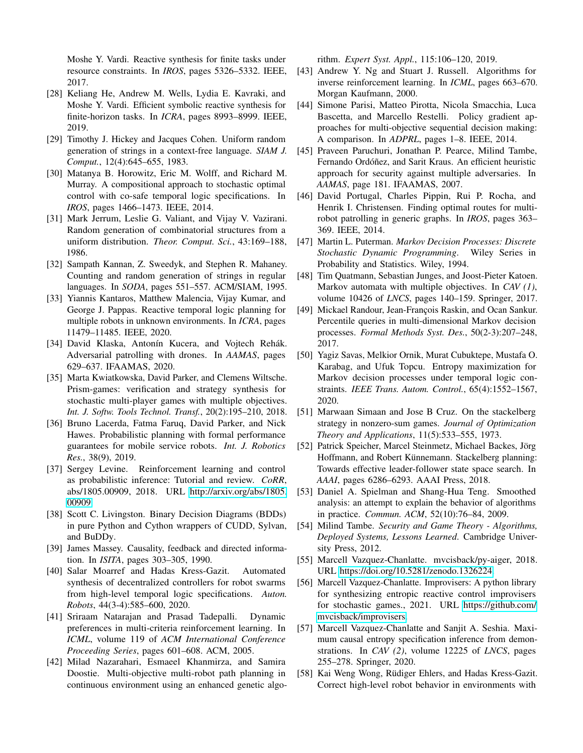Moshe Y. Vardi. Reactive synthesis for finite tasks under resource constraints. In *IROS*, pages 5326–5332. IEEE, 2017.

- <span id="page-11-2"></span>[28] Keliang He, Andrew M. Wells, Lydia E. Kavraki, and Moshe Y. Vardi. Efficient symbolic reactive synthesis for finite-horizon tasks. In *ICRA*, pages 8993–8999. IEEE, 2019.
- <span id="page-11-28"></span>[29] Timothy J. Hickey and Jacques Cohen. Uniform random generation of strings in a context-free language. *SIAM J. Comput.*, 12(4):645–655, 1983.
- <span id="page-11-0"></span>[30] Matanya B. Horowitz, Eric M. Wolff, and Richard M. Murray. A compositional approach to stochastic optimal control with co-safe temporal logic specifications. In *IROS*, pages 1466–1473. IEEE, 2014.
- <span id="page-11-30"></span>[31] Mark Jerrum, Leslie G. Valiant, and Vijay V. Vazirani. Random generation of combinatorial structures from a uniform distribution. *Theor. Comput. Sci.*, 43:169–188, 1986.
- <span id="page-11-29"></span>[32] Sampath Kannan, Z. Sweedyk, and Stephen R. Mahaney. Counting and random generation of strings in regular languages. In *SODA*, pages 551–557. ACM/SIAM, 1995.
- <span id="page-11-4"></span>[33] Yiannis Kantaros, Matthew Malencia, Vijay Kumar, and George J. Pappas. Reactive temporal logic planning for multiple robots in unknown environments. In *ICRA*, pages 11479–11485. IEEE, 2020.
- <span id="page-11-26"></span>[34] David Klaska, Antonín Kucera, and Vojtech Rehák. Adversarial patrolling with drones. In *AAMAS*, pages 629–637. IFAAMAS, 2020.
- <span id="page-11-7"></span>[35] Marta Kwiatkowska, David Parker, and Clemens Wiltsche. Prism-games: verification and strategy synthesis for stochastic multi-player games with multiple objectives. *Int. J. Softw. Tools Technol. Transf.*, 20(2):195–210, 2018.
- <span id="page-11-17"></span>[36] Bruno Lacerda, Fatma Faruq, David Parker, and Nick Hawes. Probabilistic planning with formal performance guarantees for mobile service robots. *Int. J. Robotics Res.*, 38(9), 2019.
- <span id="page-11-9"></span>[37] Sergey Levine. Reinforcement learning and control as probabilistic inference: Tutorial and review. *CoRR*, abs/1805.00909, 2018. URL [http://arxiv.org/abs/1805.](http://arxiv.org/abs/1805.00909) [00909.](http://arxiv.org/abs/1805.00909)
- <span id="page-11-13"></span>[38] Scott C. Livingston. Binary Decision Diagrams (BDDs) in pure Python and Cython wrappers of CUDD, Sylvan, and BuDDy.
- <span id="page-11-6"></span>[39] James Massey. Causality, feedback and directed information. In *ISITA*, pages 303–305, 1990.
- <span id="page-11-12"></span><span id="page-11-3"></span>[40] Salar Moarref and Hadas Kress-Gazit. Automated synthesis of decentralized controllers for robot swarms from high-level temporal logic specifications. *Auton. Robots*, 44(3-4):585–600, 2020.
- <span id="page-11-18"></span><span id="page-11-5"></span>[41] Sriraam Natarajan and Prasad Tadepalli. Dynamic preferences in multi-criteria reinforcement learning. In *ICML*, volume 119 of *ACM International Conference Proceeding Series*, pages 601–608. ACM, 2005.
- <span id="page-11-20"></span><span id="page-11-1"></span>[42] Milad Nazarahari, Esmaeel Khanmirza, and Samira Doostie. Multi-objective multi-robot path planning in continuous environment using an enhanced genetic algo-

rithm. *Expert Syst. Appl.*, 115:106–120, 2019.

- <span id="page-11-8"></span>[43] Andrew Y. Ng and Stuart J. Russell. Algorithms for inverse reinforcement learning. In *ICML*, pages 663–670. Morgan Kaufmann, 2000.
- <span id="page-11-19"></span>[44] Simone Parisi, Matteo Pirotta, Nicola Smacchia, Luca Bascetta, and Marcello Restelli. Policy gradient approaches for multi-objective sequential decision making: A comparison. In *ADPRL*, pages 1–8. IEEE, 2014.
- <span id="page-11-23"></span>[45] Praveen Paruchuri, Jonathan P. Pearce, Milind Tambe, Fernando Ordóñez, and Sarit Kraus. An efficient heuristic approach for security against multiple adversaries. In *AAMAS*, page 181. IFAAMAS, 2007.
- <span id="page-11-21"></span>[46] David Portugal, Charles Pippin, Rui P. Rocha, and Henrik I. Christensen. Finding optimal routes for multirobot patrolling in generic graphs. In *IROS*, pages 363– 369. IEEE, 2014.
- <span id="page-11-10"></span>[47] Martin L. Puterman. *Markov Decision Processes: Discrete Stochastic Dynamic Programming*. Wiley Series in Probability and Statistics. Wiley, 1994.
- <span id="page-11-16"></span>[48] Tim Quatmann, Sebastian Junges, and Joost-Pieter Katoen. Markov automata with multiple objectives. In *CAV (1)*, volume 10426 of *LNCS*, pages 140–159. Springer, 2017.
- <span id="page-11-27"></span><span id="page-11-25"></span><span id="page-11-24"></span><span id="page-11-22"></span><span id="page-11-15"></span><span id="page-11-14"></span><span id="page-11-11"></span>[49] Mickael Randour, Jean-François Raskin, and Ocan Sankur. Percentile queries in multi-dimensional Markov decision processes. *Formal Methods Syst. Des.*, 50(2-3):207–248, 2017.
- [50] Yagiz Savas, Melkior Ornik, Murat Cubuktepe, Mustafa O. Karabag, and Ufuk Topcu. Entropy maximization for Markov decision processes under temporal logic constraints. *IEEE Trans. Autom. Control.*, 65(4):1552–1567, 2020. Mode Y. Vardi, Razinie synthesis ker initir tasks sunk<br/>r $\tau$  initir. *Layert* Spic. Appl., 118106–120, 2019, and<br/>variety the synthesis in 1895, respect to the synthesis of the Spice and<br/> $\lambda$  in the Spice and M
	- [51] Marwaan Simaan and Jose B Cruz. On the stackelberg strategy in nonzero-sum games. *Journal of Optimization Theory and Applications*, 11(5):533–555, 1973.
	- [52] Patrick Speicher, Marcel Steinmetz, Michael Backes, Jörg Hoffmann, and Robert Künnemann. Stackelberg planning: Towards effective leader-follower state space search. In *AAAI*, pages 6286–6293. AAAI Press, 2018.
	- [53] Daniel A. Spielman and Shang-Hua Teng. Smoothed analysis: an attempt to explain the behavior of algorithms in practice. *Commun. ACM*, 52(10):76–84, 2009.
	- [54] Milind Tambe. *Security and Game Theory Algorithms, Deployed Systems, Lessons Learned*. Cambridge University Press, 2012.
	- [55] Marcell Vazquez-Chanlatte. mvcisback/py-aiger, 2018. URL [https://doi.org/10.5281/zenodo.1326224.](https://doi.org/10.5281/zenodo.1326224)
	- [56] Marcell Vazquez-Chanlatte. Improvisers: A python library for synthesizing entropic reactive control improvisers for stochastic games., 2021. URL [https://github.com/](https://github.com/mvcisback/improvisers) [mvcisback/improvisers.](https://github.com/mvcisback/improvisers)
	- [57] Marcell Vazquez-Chanlatte and Sanjit A. Seshia. Maximum causal entropy specification inference from demonstrations. In *CAV (2)*, volume 12225 of *LNCS*, pages 255–278. Springer, 2020.
	- [58] Kai Weng Wong, Rüdiger Ehlers, and Hadas Kress-Gazit. Correct high-level robot behavior in environments with